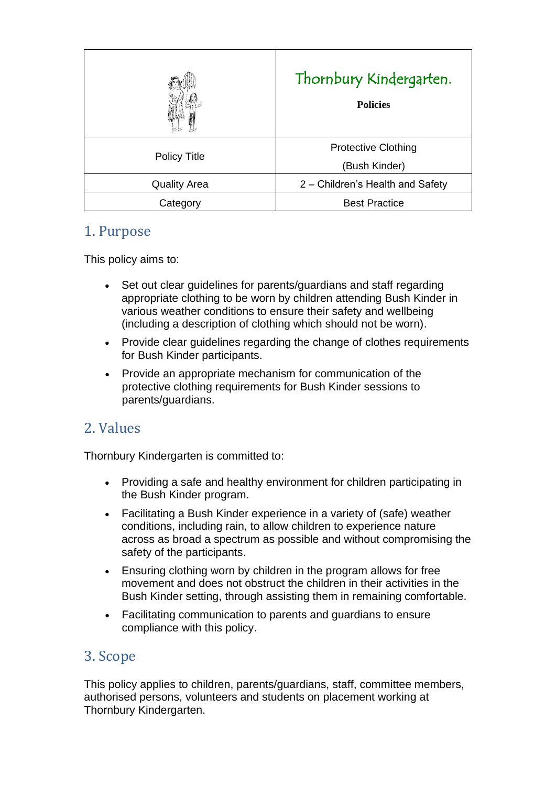|                     | Thornbury Kindergarten.<br><b>Policies</b>  |
|---------------------|---------------------------------------------|
| <b>Policy Title</b> | <b>Protective Clothing</b><br>(Bush Kinder) |
| <b>Quality Area</b> | 2 – Children's Health and Safety            |
| Category            | <b>Best Practice</b>                        |

# 1. Purpose

This policy aims to:

- Set out clear guidelines for parents/guardians and staff regarding appropriate clothing to be worn by children attending Bush Kinder in various weather conditions to ensure their safety and wellbeing (including a description of clothing which should not be worn).
- Provide clear guidelines regarding the change of clothes requirements for Bush Kinder participants.
- Provide an appropriate mechanism for communication of the protective clothing requirements for Bush Kinder sessions to parents/guardians.

# 2. Values

Thornbury Kindergarten is committed to:

- Providing a safe and healthy environment for children participating in the Bush Kinder program.
- Facilitating a Bush Kinder experience in a variety of (safe) weather conditions, including rain, to allow children to experience nature across as broad a spectrum as possible and without compromising the safety of the participants.
- Ensuring clothing worn by children in the program allows for free movement and does not obstruct the children in their activities in the Bush Kinder setting, through assisting them in remaining comfortable.
- Facilitating communication to parents and guardians to ensure compliance with this policy.

### 3. Scope

This policy applies to children, parents/guardians, staff, committee members, authorised persons, volunteers and students on placement working at Thornbury Kindergarten.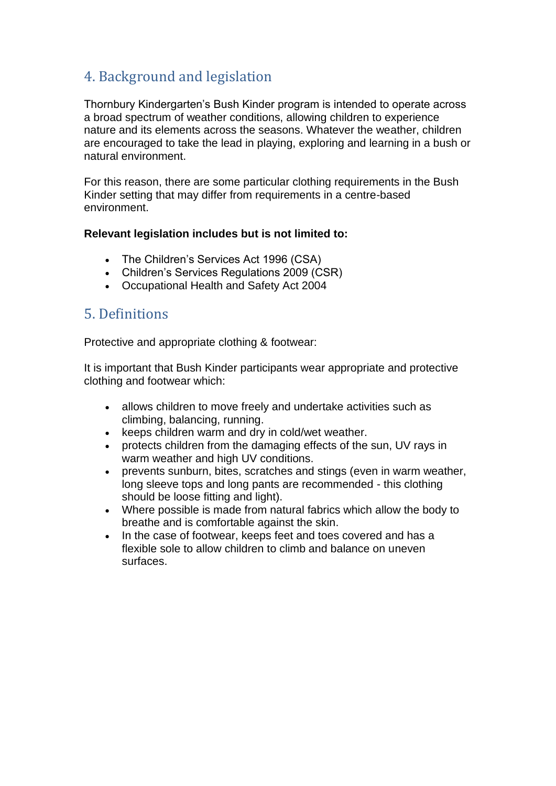# 4. Background and legislation

Thornbury Kindergarten's Bush Kinder program is intended to operate across a broad spectrum of weather conditions, allowing children to experience nature and its elements across the seasons. Whatever the weather, children are encouraged to take the lead in playing, exploring and learning in a bush or natural environment.

For this reason, there are some particular clothing requirements in the Bush Kinder setting that may differ from requirements in a centre-based environment.

#### **Relevant legislation includes but is not limited to:**

- The Children's Services Act 1996 (CSA)
- Children's Services Regulations 2009 (CSR)
- Occupational Health and Safety Act 2004

# 5. Definitions

Protective and appropriate clothing & footwear:

It is important that Bush Kinder participants wear appropriate and protective clothing and footwear which:

- allows children to move freely and undertake activities such as climbing, balancing, running.
- keeps children warm and dry in cold/wet weather.
- protects children from the damaging effects of the sun, UV rays in warm weather and high UV conditions.
- prevents sunburn, bites, scratches and stings (even in warm weather, long sleeve tops and long pants are recommended - this clothing should be loose fitting and light).
- Where possible is made from natural fabrics which allow the body to breathe and is comfortable against the skin.
- In the case of footwear, keeps feet and toes covered and has a flexible sole to allow children to climb and balance on uneven surfaces.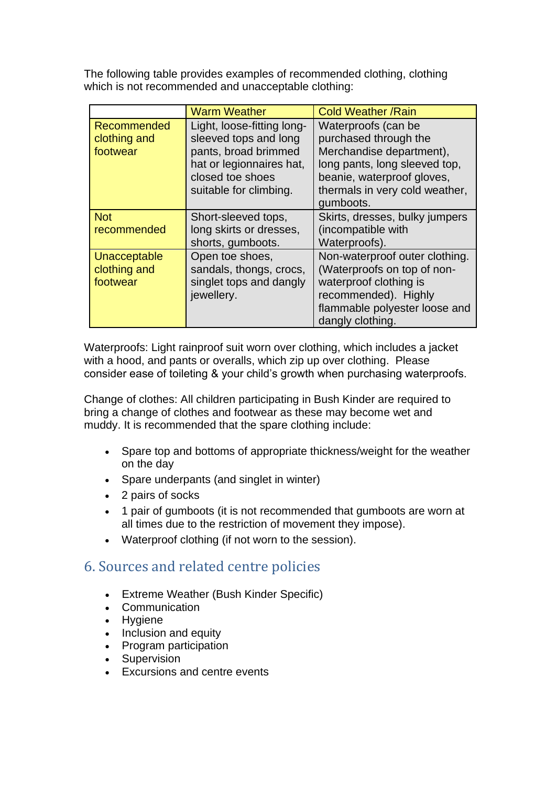The following table provides examples of recommended clothing, clothing which is not recommended and unacceptable clothing:

|                                          | <b>Warm Weather</b>                                                                                                                                   | <b>Cold Weather /Rain</b>                                                                                                                                                              |
|------------------------------------------|-------------------------------------------------------------------------------------------------------------------------------------------------------|----------------------------------------------------------------------------------------------------------------------------------------------------------------------------------------|
| Recommended<br>clothing and<br>footwear  | Light, loose-fitting long-<br>sleeved tops and long<br>pants, broad brimmed<br>hat or legionnaires hat,<br>closed toe shoes<br>suitable for climbing. | Waterproofs (can be<br>purchased through the<br>Merchandise department),<br>long pants, long sleeved top,<br>beanie, waterproof gloves,<br>thermals in very cold weather,<br>gumboots. |
| <b>Not</b><br>recommended                | Short-sleeved tops,<br>long skirts or dresses,<br>shorts, gumboots.                                                                                   | Skirts, dresses, bulky jumpers<br>(incompatible with<br>Waterproofs).                                                                                                                  |
| Unacceptable<br>clothing and<br>footwear | Open toe shoes,<br>sandals, thongs, crocs,<br>singlet tops and dangly<br>jewellery.                                                                   | Non-waterproof outer clothing.<br>(Waterproofs on top of non-<br>waterproof clothing is<br>recommended). Highly<br>flammable polyester loose and<br>dangly clothing.                   |

Waterproofs: Light rainproof suit worn over clothing, which includes a jacket with a hood, and pants or overalls, which zip up over clothing. Please consider ease of toileting & your child's growth when purchasing waterproofs.

Change of clothes: All children participating in Bush Kinder are required to bring a change of clothes and footwear as these may become wet and muddy. It is recommended that the spare clothing include:

- Spare top and bottoms of appropriate thickness/weight for the weather on the day
- Spare underpants (and singlet in winter)
- 2 pairs of socks
- 1 pair of gumboots (it is not recommended that gumboots are worn at all times due to the restriction of movement they impose).
- Waterproof clothing (if not worn to the session).

# 6. Sources and related centre policies

- Extreme Weather (Bush Kinder Specific)
- Communication
- Hygiene
- Inclusion and equity
- Program participation
- Supervision
- Excursions and centre events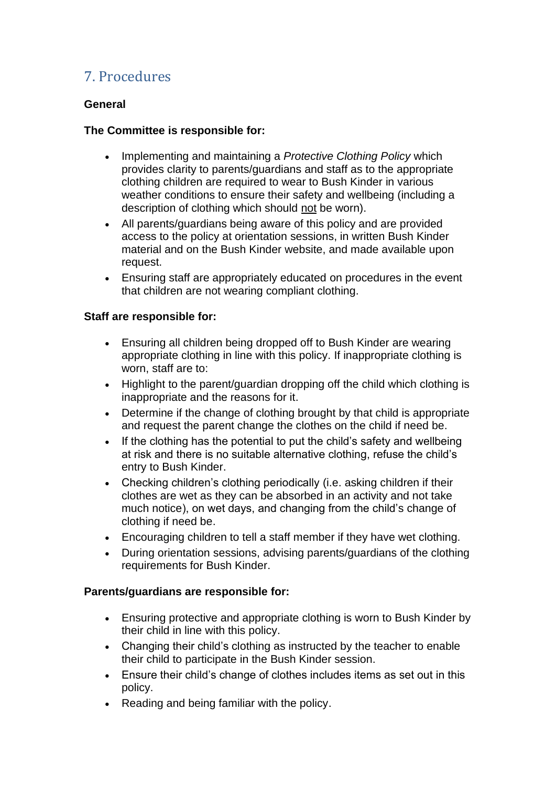# 7. Procedures

#### **General**

#### **The Committee is responsible for:**

- Implementing and maintaining a *Protective Clothing Policy* which provides clarity to parents/guardians and staff as to the appropriate clothing children are required to wear to Bush Kinder in various weather conditions to ensure their safety and wellbeing (including a description of clothing which should not be worn).
- All parents/guardians being aware of this policy and are provided access to the policy at orientation sessions, in written Bush Kinder material and on the Bush Kinder website, and made available upon request.
- Ensuring staff are appropriately educated on procedures in the event that children are not wearing compliant clothing.

#### **Staff are responsible for:**

- Ensuring all children being dropped off to Bush Kinder are wearing appropriate clothing in line with this policy. If inappropriate clothing is worn, staff are to:
- Highlight to the parent/guardian dropping off the child which clothing is inappropriate and the reasons for it.
- Determine if the change of clothing brought by that child is appropriate and request the parent change the clothes on the child if need be.
- If the clothing has the potential to put the child's safety and wellbeing at risk and there is no suitable alternative clothing, refuse the child's entry to Bush Kinder.
- Checking children's clothing periodically (i.e. asking children if their clothes are wet as they can be absorbed in an activity and not take much notice), on wet days, and changing from the child's change of clothing if need be.
- Encouraging children to tell a staff member if they have wet clothing.
- During orientation sessions, advising parents/guardians of the clothing requirements for Bush Kinder.

#### **Parents/guardians are responsible for:**

- Ensuring protective and appropriate clothing is worn to Bush Kinder by their child in line with this policy.
- Changing their child's clothing as instructed by the teacher to enable their child to participate in the Bush Kinder session.
- Ensure their child's change of clothes includes items as set out in this policy.
- Reading and being familiar with the policy.